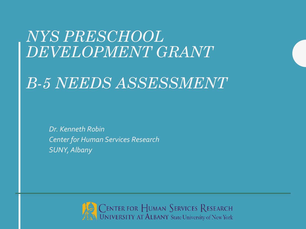#### *NYS PRESCHOOL DEVELOPMENT GRANT*

#### *B-5 NEEDS ASSESSMENT*

*Dr. Kenneth Robin Center for Human Services Research SUNY, Albany*

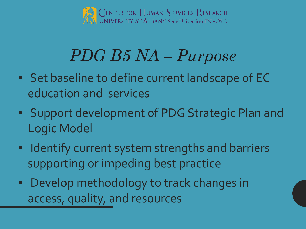

# *PDG B5 NA – Purpose*

- Set baseline to define current landscape of EC education and services
- Support development of PDG Strategic Plan and Logic Model
- Identify current system strengths and barriers supporting or impeding best practice
- Develop methodology to track changes in access, quality, and resources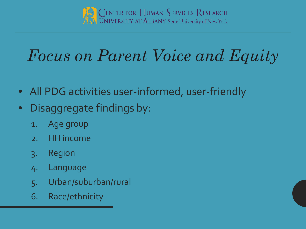

# *Focus on Parent Voice and Equity*

- All PDG activities user-informed, user-friendly
- Disaggregate findings by:
	- 1. Age group
	- 2. HH income
	- 3. Region
	- 4. Language
	- 5. Urban/suburban/rural
	- 6. Race/ethnicity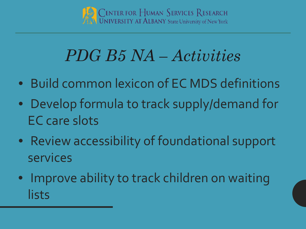

### *PDG B5 NA – Activities*

- Build common lexicon of EC MDS definitions
- Develop formula to track supply/demand for EC care slots
- Review accessibility of foundational support services
- Improve ability to track children on waiting lists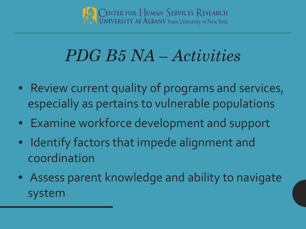

# *PDG B5 NA – Activities*

- Review current quality of programs and services, especially as pertains to vulnerable populations
- Examine workforce development and support
- Identify factors that impede alignment and coordination
- Assess parent knowledge and ability to navigate system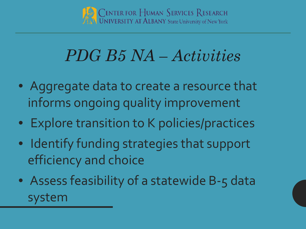

### *PDG B5 NA – Activities*

- Aggregate data to create a resource that informs ongoing quality improvement
- Explore transition to K policies/practices
- Identify funding strategies that support efficiency and choice
- Assess feasibility of a statewide B-5 data system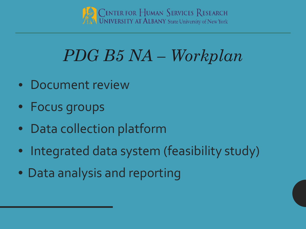

# *PDG B5 NA – Workplan*

- Document review
- Focus groups
- Data collection platform
- Integrated data system (feasibility study)
- Data analysis and reporting